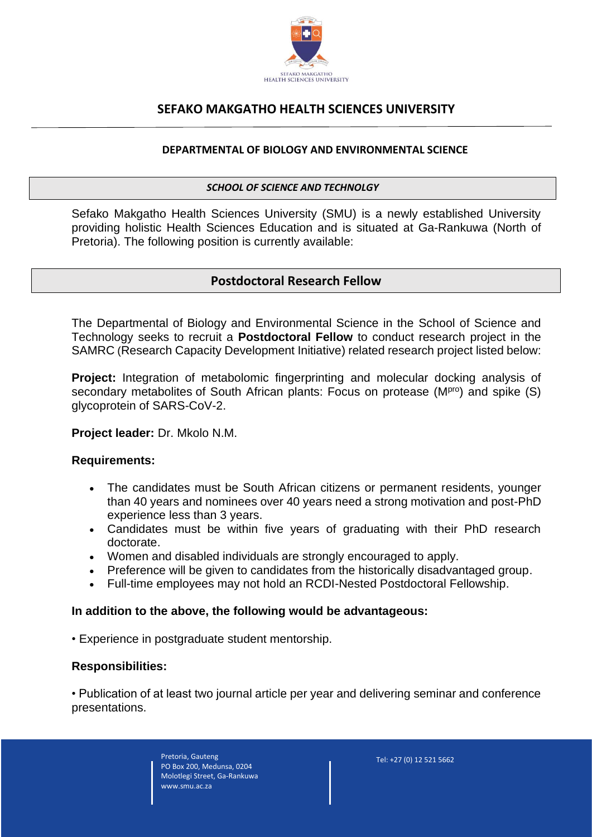

# **SEFAKO MAKGATHO HEALTH SCIENCES UNIVERSITY**

### **DEPARTMENTAL OF BIOLOGY AND ENVIRONMENTAL SCIENCE**

#### *SCHOOL OF SCIENCE AND TECHNOLGY*

Sefako Makgatho Health Sciences University (SMU) is a newly established University providing holistic Health Sciences Education and is situated at Ga-Rankuwa (North of Pretoria). The following position is currently available:

## **Postdoctoral Research Fellow**

The Departmental of Biology and Environmental Science in the School of Science and Technology seeks to recruit a **Postdoctoral Fellow** to conduct research project in the SAMRC (Research Capacity Development Initiative) related research project listed below:

**Project:** Integration of metabolomic fingerprinting and molecular docking analysis of secondary metabolites of South African plants: Focus on protease (MPro) and spike (S) glycoprotein of SARS-CoV-2.

#### **Project leader:** Dr. Mkolo N.M.

#### **Requirements:**

- The candidates must be South African citizens or permanent residents, younger than 40 years and nominees over 40 years need a strong motivation and post-PhD experience less than 3 years.
- Candidates must be within five years of graduating with their PhD research doctorate.
- Women and disabled individuals are strongly encouraged to apply.
- Preference will be given to candidates from the historically disadvantaged group.
- Full-time employees may not hold an RCDI-Nested Postdoctoral Fellowship.

#### **In addition to the above, the following would be advantageous:**

• Experience in postgraduate student mentorship.

#### **Responsibilities:**

• Publication of at least two journal article per year and delivering seminar and conference presentations.

> Pretoria, Gauteng PO Box 200, Medunsa, 0204 Molotlegi Street, Ga-Rankuwa www.smu.ac.za

Tel: +27 (0) 12 521 5662